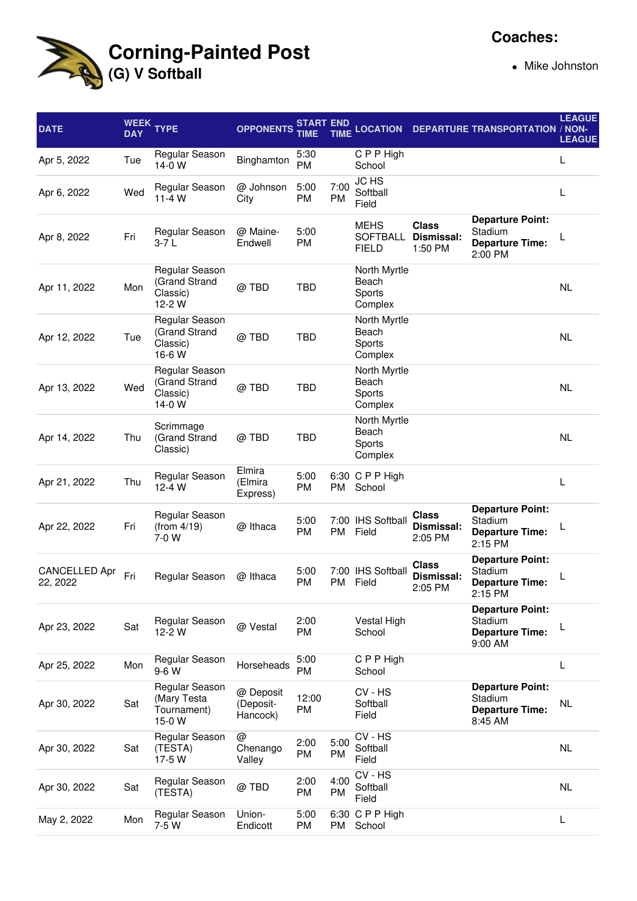

## **Coaches:**

Mike Johnston

| <b>DATE</b>                      | <b>WEEK</b><br><b>DAY</b> | <b>TYPE</b>                                            | <b>OPPONENTS</b>                   | <b>START END</b><br>TIME | <b>TIME</b>       | <b>LOCATION</b>                                |                                              | <b>DEPARTURE TRANSPORTATION / NON-</b>                                  | <b>LEAGUE</b><br><b>LEAGUE</b> |
|----------------------------------|---------------------------|--------------------------------------------------------|------------------------------------|--------------------------|-------------------|------------------------------------------------|----------------------------------------------|-------------------------------------------------------------------------|--------------------------------|
| Apr 5, 2022                      | Tue                       | Regular Season<br>$14-0$ W                             | Binghamton                         | 5:30<br><b>PM</b>        |                   | C P P High<br>School                           |                                              |                                                                         | L                              |
| Apr 6, 2022                      | Wed                       | Regular Season<br>$11 - 4 W$                           | @ Johnson<br>City                  | 5:00<br>PM               | 7:00<br>PM        | <b>JC HS</b><br>Softball<br>Field              |                                              |                                                                         | L                              |
| Apr 8, 2022                      | Fri                       | Regular Season<br>3-7 L                                | @ Maine-<br>Endwell                | 5:00<br>PM               |                   | <b>MEHS</b><br><b>SOFTBALL</b><br><b>FIELD</b> | <b>Class</b><br><b>Dismissal:</b><br>1:50 PM | <b>Departure Point:</b><br>Stadium<br><b>Departure Time:</b><br>2:00 PM | L                              |
| Apr 11, 2022                     | Mon                       | Regular Season<br>(Grand Strand<br>Classic)<br>12-2 W  | @ TBD                              | TBD                      |                   | North Myrtle<br>Beach<br>Sports<br>Complex     |                                              |                                                                         | <b>NL</b>                      |
| Apr 12, 2022                     | Tue                       | Regular Season<br>(Grand Strand<br>Classic)<br>16-6 W  | @ TBD                              | TBD                      |                   | North Myrtle<br>Beach<br>Sports<br>Complex     |                                              |                                                                         | <b>NL</b>                      |
| Apr 13, 2022                     | Wed                       | Regular Season<br>(Grand Strand<br>Classic)<br>14-0 W  | @TBD                               | <b>TBD</b>               |                   | North Myrtle<br>Beach<br>Sports<br>Complex     |                                              |                                                                         | <b>NL</b>                      |
| Apr 14, 2022                     | Thu                       | Scrimmage<br>(Grand Strand<br>Classic)                 | @ TBD                              | TBD                      |                   | North Myrtle<br>Beach<br>Sports<br>Complex     |                                              |                                                                         | <b>NL</b>                      |
| Apr 21, 2022                     | Thu                       | Regular Season<br>$12 - 4 W$                           | Elmira<br>(Elmira<br>Express)      | 5:00<br>PM               | PM                | 6:30 C P P High<br>School                      |                                              |                                                                         | L                              |
| Apr 22, 2022                     | Fri                       | Regular Season<br>(from 4/19)<br>7-0 W                 | @ Ithaca                           | 5:00<br>PM               | <b>PM</b>         | 7:00 IHS Softball<br>Field                     | Class<br>Dismissal:<br>2:05 PM               | <b>Departure Point:</b><br>Stadium<br><b>Departure Time:</b><br>2:15 PM | L                              |
| <b>CANCELLED Apr</b><br>22, 2022 | Fri                       | Regular Season                                         | @ Ithaca                           | 5:00<br><b>PM</b>        | 7:00<br><b>PM</b> | <b>IHS Softball</b><br>Field                   | <b>Class</b><br>Dismissal:<br>2:05 PM        | <b>Departure Point:</b><br>Stadium<br><b>Departure Time:</b><br>2:15 PM |                                |
| Apr 23, 2022                     | Sat                       | Regular Season<br>12-2 W                               | @ Vestal                           | 2:00<br>PM               |                   | Vestal High<br>School                          |                                              | <b>Departure Point:</b><br>Stadium<br><b>Departure Time:</b><br>9:00 AM | L                              |
| Apr 25, 2022                     | Mon                       | Regular Season<br>9-6 W                                | Horseheads                         | 5:00<br>PM               |                   | C P P High<br>School                           |                                              |                                                                         | L                              |
| Apr 30, 2022                     | Sat                       | Regular Season<br>(Mary Testa<br>Tournament)<br>15-0 W | @ Deposit<br>(Deposit-<br>Hancock) | 12:00<br>PM              |                   | CV - HS<br>Softball<br>Field                   |                                              | <b>Departure Point:</b><br>Stadium<br><b>Departure Time:</b><br>8:45 AM | <b>NL</b>                      |
| Apr 30, 2022                     | Sat                       | Regular Season<br>(TESTA)<br>17-5 W                    | @<br>Chenango<br>Valley            | 2:00<br>PM               | 5:00<br>PM        | CV - HS<br>Softball<br>Field                   |                                              |                                                                         | <b>NL</b>                      |
| Apr 30, 2022                     | Sat                       | Regular Season<br>(TESTA)                              | @ TBD                              | 2:00<br>PM               | 4:00<br>PM        | CV - HS<br>Softball<br>Field                   |                                              |                                                                         | NL                             |
| May 2, 2022                      | Mon                       | Regular Season<br>7-5 W                                | Union-<br>Endicott                 | 5:00<br>PM               | PM                | 6:30 CPP High<br>School                        |                                              |                                                                         | L                              |